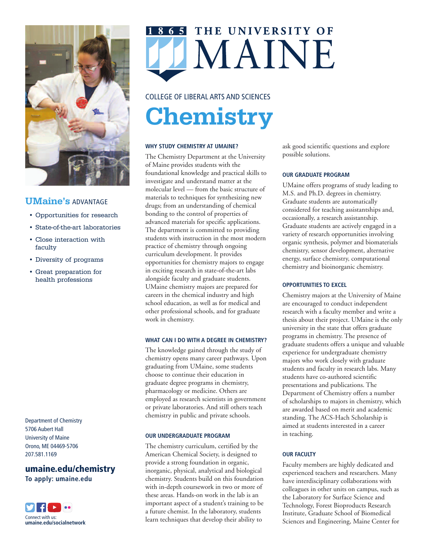

## **UMaine's** ADVANTAGE

- Opportunities for research
- State-of-the-art laboratories
- Close interaction with faculty
- Diversity of programs
- Great preparation for health professions

Department of Chemistry 5706 Aubert Hall University of Maine Orono, ME 04469-5706 207.581.1169

### **umaine.edu/chemistry To apply: umaine.edu**



THE UNIVERSITY OF MAINE

# COLLEGE OF LIBERAL ARTS AND SCIENCES **Chemistry**

#### **WHY STUDY CHEMISTRY AT UMAINE?**

The Chemistry Department at the University of Maine provides students with the foundational knowledge and practical skills to investigate and understand matter at the molecular level — from the basic structure of materials to techniques for synthesizing new drugs; from an understanding of chemical bonding to the control of properties of advanced materials for specific applications. The department is committed to providing students with instruction in the most modern practice of chemistry through ongoing curriculum development. It provides opportunities for chemistry majors to engage in exciting research in state-of-the-art labs alongside faculty and graduate students. UMaine chemistry majors are prepared for careers in the chemical industry and high school education, as well as for medical and other professional schools, and for graduate work in chemistry.

#### **WHAT CAN I DO WITH A DEGREE IN CHEMISTRY?**

The knowledge gained through the study of chemistry opens many career pathways. Upon graduating from UMaine, some students choose to continue their education in graduate degree programs in chemistry, pharmacology or medicine. Others are employed as research scientists in government or private laboratories. And still others teach chemistry in public and private schools.

#### **OUR UNDERGRADUATE PROGRAM**

The chemistry curriculum, certified by the American Chemical Society, is designed to provide a strong foundation in organic, inorganic, physical, analytical and biological chemistry. Students build on this foundation with in-depth coursework in two or more of these areas. Hands-on work in the lab is an important aspect of a student's training to be a future chemist. In the laboratory, students learn techniques that develop their ability to

ask good scientific questions and explore possible solutions.

#### **OUR GRADUATE PROGRAM**

UMaine offers programs of study leading to M.S. and Ph.D. degrees in chemistry. Graduate students are automatically considered for teaching assistantships and, occasionally, a research assistantship. Graduate students are actively engaged in a variety of research opportunities involving organic synthesis, polymer and biomaterials chemistry, sensor development, alternative energy, surface chemistry, computational chemistry and bioinorganic chemistry.

#### **OPPORTUNITIES TO EXCEL**

Chemistry majors at the University of Maine are encouraged to conduct independent research with a faculty member and write a thesis about their project. UMaine is the only university in the state that offers graduate programs in chemistry. The presence of graduate students offers a unique and valuable experience for undergraduate chemistry majors who work closely with graduate students and faculty in research labs. Many students have co-authored scientific presentations and publications. The Department of Chemistry offers a number of scholarships to majors in chemistry, which are awarded based on merit and academic standing. The ACS-Hach Scholarship is aimed at students interested in a career in teaching.

#### **OUR FACULTY**

Faculty members are highly dedicated and experienced teachers and researchers. Many have interdisciplinary collaborations with colleagues in other units on campus, such as the Laboratory for Surface Science and Technology, Forest Bioproducts Research Institute, Graduate School of Biomedical Sciences and Engineering, Maine Center for